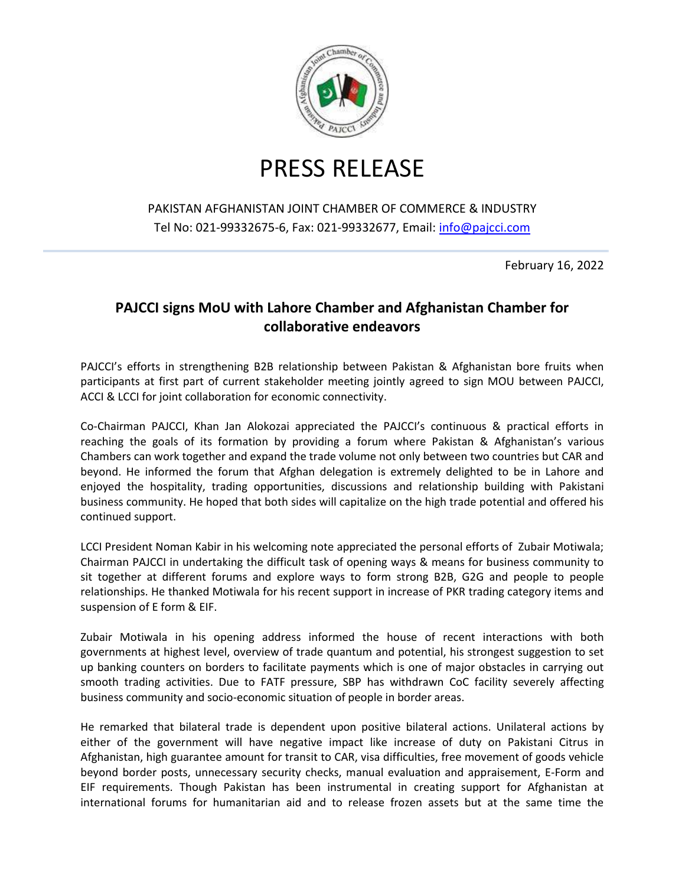

## PRESS RELEASE

## PAKISTAN AFGHANISTAN JOINT CHAMBER OF COMMERCE & INDUSTRY Tel No: 021-99332675-6, Fax: 021-99332677, Email: [info@pajcci.com](mailto:info@pajcci.com)

February 16, 2022

## **PAJCCI signs MoU with Lahore Chamber and Afghanistan Chamber for collaborative endeavors**

PAJCCI's efforts in strengthening B2B relationship between Pakistan & Afghanistan bore fruits when participants at first part of current stakeholder meeting jointly agreed to sign MOU between PAJCCI, ACCI & LCCI for joint collaboration for economic connectivity.

Co-Chairman PAJCCI, Khan Jan Alokozai appreciated the PAJCCI's continuous & practical efforts in reaching the goals of its formation by providing a forum where Pakistan & Afghanistan's various Chambers can work together and expand the trade volume not only between two countries but CAR and beyond. He informed the forum that Afghan delegation is extremely delighted to be in Lahore and enjoyed the hospitality, trading opportunities, discussions and relationship building with Pakistani business community. He hoped that both sides will capitalize on the high trade potential and offered his continued support.

LCCI President Noman Kabir in his welcoming note appreciated the personal efforts of Zubair Motiwala; Chairman PAJCCI in undertaking the difficult task of opening ways & means for business community to sit together at different forums and explore ways to form strong B2B, G2G and people to people relationships. He thanked Motiwala for his recent support in increase of PKR trading category items and suspension of E form & EIF.

Zubair Motiwala in his opening address informed the house of recent interactions with both governments at highest level, overview of trade quantum and potential, his strongest suggestion to set up banking counters on borders to facilitate payments which is one of major obstacles in carrying out smooth trading activities. Due to FATF pressure, SBP has withdrawn CoC facility severely affecting business community and socio-economic situation of people in border areas.

He remarked that bilateral trade is dependent upon positive bilateral actions. Unilateral actions by either of the government will have negative impact like increase of duty on Pakistani Citrus in Afghanistan, high guarantee amount for transit to CAR, visa difficulties, free movement of goods vehicle beyond border posts, unnecessary security checks, manual evaluation and appraisement, E-Form and EIF requirements. Though Pakistan has been instrumental in creating support for Afghanistan at international forums for humanitarian aid and to release frozen assets but at the same time the